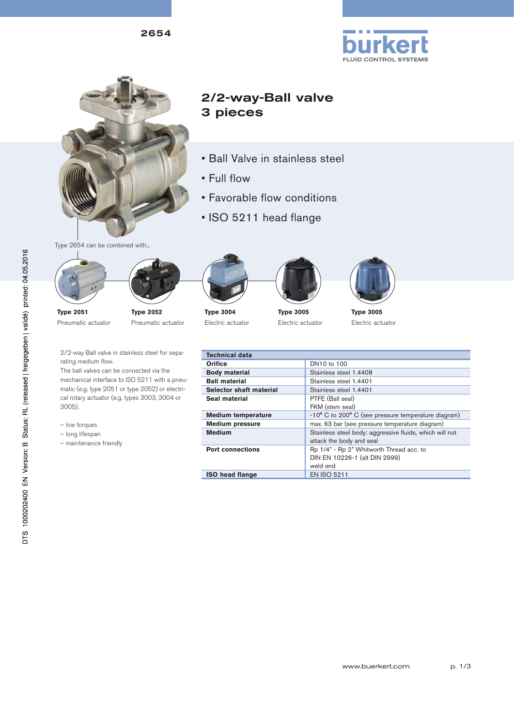2654





# 2/2-way-Ball valve 3 pieces

- Ball Valve in stainless steel
- Full flow
- Favorable flow conditions
- ISO 5211 head flange







**Type 2052** Pneumatic actuator



**Type 3004** Electric actuator



**Type 3005** Electric actuator





**Type 3005** Electric actuator

2/2-way Ball valve in stainless steel for separating medium flow.

The ball valves can be connected via the mechanical interface to ISO 5211 with a pneumatic (e.g. type 2051 or type 2052) or electrical rotary actuator (e.g. types 3003, 3004 or 3005).

– low torques

Pneumatic actuator

- long lifespan
- maintenance friendly

| <b>Technical data</b>     |                                                         |  |  |  |  |  |  |
|---------------------------|---------------------------------------------------------|--|--|--|--|--|--|
| Orifice                   | DN10 to 100                                             |  |  |  |  |  |  |
| <b>Body material</b>      | Stainless steel 1.4408                                  |  |  |  |  |  |  |
| <b>Ball material</b>      | Stainless steel 1.4401                                  |  |  |  |  |  |  |
| Selector shaft material   | Stainless steel 1.4401                                  |  |  |  |  |  |  |
| Seal material             | PTFE (Ball seal)                                        |  |  |  |  |  |  |
|                           | FKM (stem seal)                                         |  |  |  |  |  |  |
| <b>Medium temperature</b> | -10° C to 200° C (see pressure temperature diagram)     |  |  |  |  |  |  |
| <b>Medium pressure</b>    | max. 63 bar (see pressure temperature diagram)          |  |  |  |  |  |  |
| <b>Medium</b>             | Stainless steel body: aggressive fluids, which will not |  |  |  |  |  |  |
|                           | attack the body and seal                                |  |  |  |  |  |  |
| <b>Port connections</b>   | Rp 1/4" - Rp 2" Whitworth Thread acc. to                |  |  |  |  |  |  |
|                           | DIN EN 10226-1 (alt DIN 2999)                           |  |  |  |  |  |  |
|                           | weld end                                                |  |  |  |  |  |  |
| <b>ISO head flange</b>    | <b>EN ISO 5211</b>                                      |  |  |  |  |  |  |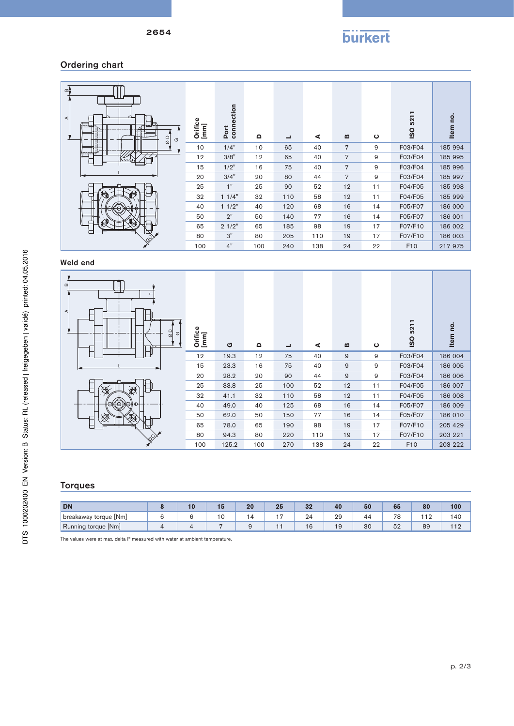

## Ordering chart

| മ±<br>$\prec$ | ㅠㅠ<br>$\overline{\mathcal{O}}$<br>G | Orifice<br>$[mm] % \begin{minipage}[b]{0.45\textwidth} \centering \includegraphics[width=\textwidth]{figs/fig_10.pdf} \caption{The sum of the number of times, and the number of times, and the number of times, are indicated with the number of times, and the number of times, are indicated with the number of times, and the number of times, are indicated with the number of times, and the number of times, are indicated with the number of times, and the number of times, are indicated with the number of times, and the number of times, are indicated with the number of times, and the number of times, are indicated with the number of times, and the number of times, are indicated with the number of times, and the number of times, are indicated with the number of times, and the number of times, are indicated with the number of times, and the number of times, are indicated with the number of times, and the number of times, are$ | Port<br>connection | $\Omega$ | $\overline{\phantom{0}}$ | ⋖   | $\bf{m}$       | $\mathbf{\mathsf{C}}$ | 521<br><b>ISO</b> | <u>o</u><br>Item |
|---------------|-------------------------------------|------------------------------------------------------------------------------------------------------------------------------------------------------------------------------------------------------------------------------------------------------------------------------------------------------------------------------------------------------------------------------------------------------------------------------------------------------------------------------------------------------------------------------------------------------------------------------------------------------------------------------------------------------------------------------------------------------------------------------------------------------------------------------------------------------------------------------------------------------------------------------------------------------------------------------------------------------------------|--------------------|----------|--------------------------|-----|----------------|-----------------------|-------------------|------------------|
|               |                                     | 10                                                                                                                                                                                                                                                                                                                                                                                                                                                                                                                                                                                                                                                                                                                                                                                                                                                                                                                                                               | 1/4"               | 10       | 65                       | 40  | $\overline{7}$ | 9                     | F03/F04           | 185 994          |
|               |                                     | 12                                                                                                                                                                                                                                                                                                                                                                                                                                                                                                                                                                                                                                                                                                                                                                                                                                                                                                                                                               | 3/8"               | 12       | 65                       | 40  | $\overline{7}$ | 9                     | F03/F04           | 185 995          |
|               |                                     | 15                                                                                                                                                                                                                                                                                                                                                                                                                                                                                                                                                                                                                                                                                                                                                                                                                                                                                                                                                               | 1/2"               | 16       | 75                       | 40  | $\overline{7}$ | 9                     | F03/F04           | 185 996          |
|               |                                     | 20                                                                                                                                                                                                                                                                                                                                                                                                                                                                                                                                                                                                                                                                                                                                                                                                                                                                                                                                                               | 3/4"               | 20       | 80                       | 44  | $\overline{7}$ | 9                     | F03/F04           | 185 997          |
|               |                                     | 25                                                                                                                                                                                                                                                                                                                                                                                                                                                                                                                                                                                                                                                                                                                                                                                                                                                                                                                                                               | 1"                 | 25       | 90                       | 52  | 12             | 11                    | F04/F05           | 185 998          |
|               | O                                   | 32                                                                                                                                                                                                                                                                                                                                                                                                                                                                                                                                                                                                                                                                                                                                                                                                                                                                                                                                                               | 11/4"              | 32       | 110                      | 58  | 12             | 11                    | F04/F05           | 185 999          |
|               | ⊕                                   | 40                                                                                                                                                                                                                                                                                                                                                                                                                                                                                                                                                                                                                                                                                                                                                                                                                                                                                                                                                               | 11/2"              | 40       | 120                      | 68  | 16             | 14                    | F05/F07           | 186 000          |
|               |                                     | 50                                                                                                                                                                                                                                                                                                                                                                                                                                                                                                                                                                                                                                                                                                                                                                                                                                                                                                                                                               | 2"                 | 50       | 140                      | 77  | 16             | 14                    | F05/F07           | 186 001          |
|               |                                     | 65                                                                                                                                                                                                                                                                                                                                                                                                                                                                                                                                                                                                                                                                                                                                                                                                                                                                                                                                                               | 21/2"              | 65       | 185                      | 98  | 19             | 17                    | F07/F10           | 186 002          |
|               |                                     | 80                                                                                                                                                                                                                                                                                                                                                                                                                                                                                                                                                                                                                                                                                                                                                                                                                                                                                                                                                               | 3"                 | 80       | 205                      | 110 | 19             | 17                    | F07/F10           | 186 003          |
|               |                                     | 100                                                                                                                                                                                                                                                                                                                                                                                                                                                                                                                                                                                                                                                                                                                                                                                                                                                                                                                                                              | 4"                 | 100      | 240                      | 138 | 24             | 22                    | F <sub>10</sub>   | 217975           |

#### Weld end



## Torques

| <b>DN</b>                  | II. | 15 | 20 | 25  | 32 | 40 | 50 | 65       | 80 | 100 |
|----------------------------|-----|----|----|-----|----|----|----|----------|----|-----|
| ' torque [Nm]<br>breakaway |     | ιu | 4  | $-$ | 24 | 29 | 4  | 70<br>ັບ |    | 140 |
| Running torque [Nm]        |     |    |    |     | ίO | 19 | 30 | ◡∠       | 89 |     |

The values were at max. delta P measured with water at ambient temperature.